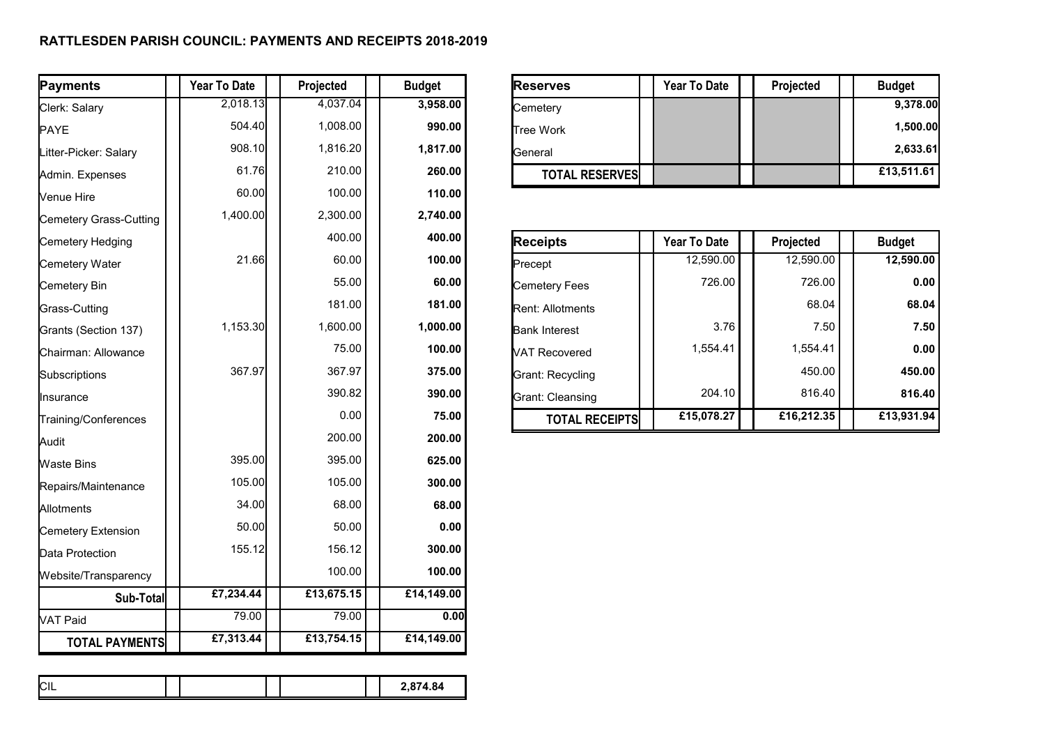## **RATTLESDEN PARISH COUNCIL: PAYMENTS AND RECEIPTS 2018-2019**

| Payments               | <b>Year To Date</b> | Projected  | <b>Budget</b> | <b>Reserves</b>       | <b>Year To Date</b> | Projected  | <b>Budget</b> |
|------------------------|---------------------|------------|---------------|-----------------------|---------------------|------------|---------------|
| Clerk: Salary          | 2,018.13            | 4,037.04   | 3,958.00      | Cemetery              |                     |            | 9,378.00      |
| PAYE                   | 504.40              | 1,008.00   | 990.00        | Tree Work             |                     |            | 1,500.00      |
| Litter-Picker: Salary  | 908.10              | 1,816.20   | 1,817.00      | General               |                     |            | 2,633.61      |
| Admin. Expenses        | 61.76               | 210.00     | 260.00        | <b>TOTAL RESERVES</b> |                     |            | £13,511.61    |
| Venue Hire             | 60.00               | 100.00     | 110.00        |                       |                     |            |               |
| Cemetery Grass-Cutting | 1,400.00            | 2,300.00   | 2,740.00      |                       |                     |            |               |
| Cemetery Hedging       |                     | 400.00     | 400.00        | <b>Receipts</b>       | <b>Year To Date</b> | Projected  | <b>Budget</b> |
| Cemetery Water         | 21.66               | 60.00      | 100.00        | Precept               | 12,590.00           | 12,590.00  | 12,590.00     |
| Cemetery Bin           |                     | 55.00      | 60.00         | Cemetery Fees         | 726.00              | 726.00     | 0.00          |
| Grass-Cutting          |                     | 181.00     | 181.00        | Rent: Allotments      |                     | 68.04      | 68.04         |
| Grants (Section 137)   | 1,153.30            | 1,600.00   | 1,000.00      | <b>Bank Interest</b>  | 3.76                | 7.50       | 7.50          |
| Chairman: Allowance    |                     | 75.00      | 100.00        | VAT Recovered         | 1,554.41            | 1,554.41   | 0.00          |
| Subscriptions          | 367.97              | 367.97     | 375.00        | Grant: Recycling      |                     | 450.00     | 450.00        |
| Insurance              |                     | 390.82     | 390.00        | Grant: Cleansing      | 204.10              | 816.40     | 816.40        |
| Training/Conferences   |                     | 0.00       | 75.00         | <b>TOTAL RECEIPTS</b> | £15,078.27          | £16,212.35 | £13,931.94    |
| Audit                  |                     | 200.00     | 200.00        |                       |                     |            |               |
| <b>Waste Bins</b>      | 395.00              | 395.00     | 625.00        |                       |                     |            |               |
| Repairs/Maintenance    | 105.00              | 105.00     | 300.00        |                       |                     |            |               |
| Allotments             | 34.00               | 68.00      | 68.00         |                       |                     |            |               |
| Cemetery Extension     | 50.00               | 50.00      | 0.00          |                       |                     |            |               |
| Data Protection        | 155.12              | 156.12     | 300.00        |                       |                     |            |               |
| Website/Transparency   |                     | 100.00     | 100.00        |                       |                     |            |               |
| Sub-Total              | £7,234.44           | £13,675.15 | £14,149.00    |                       |                     |            |               |
| VAT Paid               | 79.00               | 79.00      | 0.00          |                       |                     |            |               |
| <b>TOTAL PAYMENTS</b>  | £7,313.44           | £13,754.15 | £14,149.00    |                       |                     |            |               |

| <b>Payments</b>       | Year To Date | <b>Projected</b> | <b>Budget</b> | <b>Reserves</b>       | <b>Year To Date</b> | <b>Projected</b> | <b>Budget</b> |
|-----------------------|--------------|------------------|---------------|-----------------------|---------------------|------------------|---------------|
| Clerk: Salary         | 2.018.13     | 4.037.04         | 3.958.00      | Cemetery              |                     |                  | 9,378.00      |
| <b>PAYE</b>           | 504.40       | .008.00          | 990.00        | <b>Tree Work</b>      |                     |                  | 1.500.00      |
| Litter-Picker: Salary | 908.10       | 816.20           | 1.817.00      | lGeneral              |                     |                  | 2,633.61      |
| Admin. Expenses       | 61.76        | 210.00           | 260.00        | <b>TOTAL RESERVES</b> |                     |                  | £13,511.61    |

| <b>Receipts</b>         | <b>Year To Date</b> | Projected  | <b>Budget</b> |
|-------------------------|---------------------|------------|---------------|
| Precept                 | 12,590.00           | 12,590.00  | 12,590.00     |
| Cemetery Fees           | 726.00              | 726.00     | 0.00          |
| <b>Rent: Allotments</b> |                     | 68.04      | 68.04         |
| <b>Bank Interest</b>    | 3.76                | 7.50       | 7.50          |
| <b>NAT Recovered</b>    | 1.554.41            | 1,554.41   | 0.00          |
| Grant: Recycling        |                     | 450.00     | 450.00        |
| Grant: Cleansing        | 204.10              | 816.40     | 816.40        |
| <b>TOTAL RECEIPTS</b>   | £15,078.27          | £16,212.35 | £13,931.94    |

| <b>CIL</b><br>2,874.84 |
|------------------------|
|------------------------|